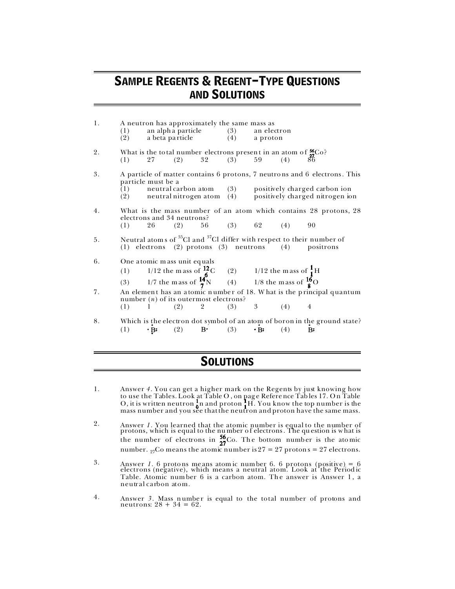## SAMPLE REGENTS & REGENT-TYPE QUESTIONS AND SOLUTIONS

| 1. | (1)<br>(2)                                                                                                                                                           |                    | A neutron has approximately the same mass as                                                                                                                                                                            |  |           | an alpha particle (3) an electron<br>a beta particle (4) a proton |  |                                                                                                                                                                                                                 |
|----|----------------------------------------------------------------------------------------------------------------------------------------------------------------------|--------------------|-------------------------------------------------------------------------------------------------------------------------------------------------------------------------------------------------------------------------|--|-----------|-------------------------------------------------------------------|--|-----------------------------------------------------------------------------------------------------------------------------------------------------------------------------------------------------------------|
| 2. | (1)                                                                                                                                                                  |                    | What is the total number electrons present in an atom of $\frac{56}{27}$ Co?<br>(1) 27 (2) 32 (3) 59 (4) 86<br>27 (2)                                                                                                   |  | 32 (3) 59 |                                                                   |  |                                                                                                                                                                                                                 |
| 3. |                                                                                                                                                                      | particle must be a |                                                                                                                                                                                                                         |  |           |                                                                   |  | A particle of matter contains 6 protons, 7 neutrons and 6 electrons. This<br>$(1)$ neutral carbon atom $(3)$ positively charged carbon ion<br>$(2)$ neutral nitrogen atom $(4)$ positively charged nitrogen ion |
| 4. | (1)                                                                                                                                                                  |                    | electrons and 34 neutrons?<br>$26$ (2) 56 (3) 62 (4) 90                                                                                                                                                                 |  |           |                                                                   |  | What is the mass number of an atom which contains 28 protons, 28                                                                                                                                                |
| 5. | Neutral atoms of <sup>35</sup> Cl and <sup>37</sup> Cl differ with respect to their number of<br>(1) electrons (2) protons (3) neutrons (4) positrons                |                    |                                                                                                                                                                                                                         |  |           |                                                                   |  |                                                                                                                                                                                                                 |
| 6. |                                                                                                                                                                      |                    | One atomic mass unit equals<br>(1) 1/12 the mass unit equals<br>(1) 1/12 the mass of $\frac{12}{6}$ C (2) 1/12 the mass of $\frac{1}{1}$ H<br>(3) 1/7 the mass of $\frac{14}{7}$ N (4) 1/8 the mass of $\frac{16}{8}$ O |  |           |                                                                   |  |                                                                                                                                                                                                                 |
| 7. | An element has an atomic number of 18. What is the principal quantum<br>number $(n)$ of its outermost electrons?<br>$(2)$ 2 $(3)$ 3 $(4)$<br>(1) 1<br>$\overline{4}$ |                    |                                                                                                                                                                                                                         |  |           |                                                                   |  |                                                                                                                                                                                                                 |
| 8. |                                                                                                                                                                      |                    | (1) $\cdot$ B: (2) B $\cdot$ (3) $\cdot$ B: (4)                                                                                                                                                                         |  |           |                                                                   |  | Which is the electron dot symbol of an atom of boron in the ground state?<br>B:                                                                                                                                 |

## **SOLUTIONS**

- 1. Answer *4*. You can get a higher mark on the Regents by just knowing how to use the Tables. Look at Table O , on pag e Refere nce Tab les 17. O n Table O, it is written neutron  $\frac{1}{6}$ n and proton  $\frac{1}{6}$ H. You know the top number is the mass number and you see that the neutron and proton have the same mass.
- 2. Answer *1*. You learned that the atomic number is equal to the number of protons, which is equal to the number of electrons. The question is what is the number of electrons in  $\frac{30}{27}$ Co. The bottom number is the atomic number. <sub>27</sub>Co means the atomic number is 27 = 27 protons = 27 electrons.
- <sup>3</sup>. Answer *1*. 6 protons means atom ic number 6. 6 protons (positive) = 6 electrons (negative), which means a neutral atom. Look at the Periodic Table. Atomic number 6 is a carbon atom. The answer is Answer 1, a neutral carbon atom.
- 4. Answer 3. Mass number is equal to the total number of protons and neutrons:  $28 + 34 = 62$ .